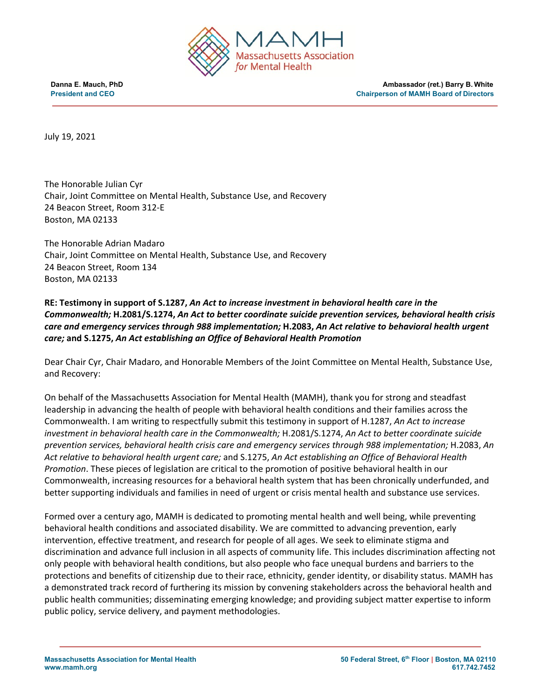

**Danna E. Mauch, PhD Ambassador (ret.) Barry B. White President and CEO** Chairperson of MAMH Board of Directors

July 19, 2021

The Honorable Julian Cyr Chair, Joint Committee on Mental Health, Substance Use, and Recovery 24 Beacon Street, Room 312-E Boston, MA 02133

The Honorable Adrian Madaro Chair, Joint Committee on Mental Health, Substance Use, and Recovery 24 Beacon Street, Room 134 Boston, MA 02133

**RE: Testimony in support of S.1287,** *An Act to increase investment in behavioral health care in the Commonwealth;* **H.2081/S.1274,** *An Act to better coordinate suicide prevention services, behavioral health crisis care and emergency services through 988 implementation;* **H.2083,** *An Act relative to behavioral health urgent care;* **and S.1275,** *An Act establishing an Office of Behavioral Health Promotion*

Dear Chair Cyr, Chair Madaro, and Honorable Members of the Joint Committee on Mental Health, Substance Use, and Recovery:

On behalf of the Massachusetts Association for Mental Health (MAMH), thank you for strong and steadfast leadership in advancing the health of people with behavioral health conditions and their families across the Commonwealth. I am writing to respectfully submit this testimony in support of H.1287, *An Act to increase investment in behavioral health care in the Commonwealth;* H.2081/S.1274, *An Act to better coordinate suicide prevention services, behavioral health crisis care and emergency services through 988 implementation;* H.2083, *An Act relative to behavioral health urgent care;* and S.1275, *An Act establishing an Office of Behavioral Health Promotion*. These pieces of legislation are critical to the promotion of positive behavioral health in our Commonwealth, increasing resources for a behavioral health system that has been chronically underfunded, and better supporting individuals and families in need of urgent or crisis mental health and substance use services.

Formed over a century ago, MAMH is dedicated to promoting mental health and well being, while preventing behavioral health conditions and associated disability. We are committed to advancing prevention, early intervention, effective treatment, and research for people of all ages. We seek to eliminate stigma and discrimination and advance full inclusion in all aspects of community life. This includes discrimination affecting not only people with behavioral health conditions, but also people who face unequal burdens and barriers to the protections and benefits of citizenship due to their race, ethnicity, gender identity, or disability status. MAMH has a demonstrated track record of furthering its mission by convening stakeholders across the behavioral health and public health communities; disseminating emerging knowledge; and providing subject matter expertise to inform public policy, service delivery, and payment methodologies.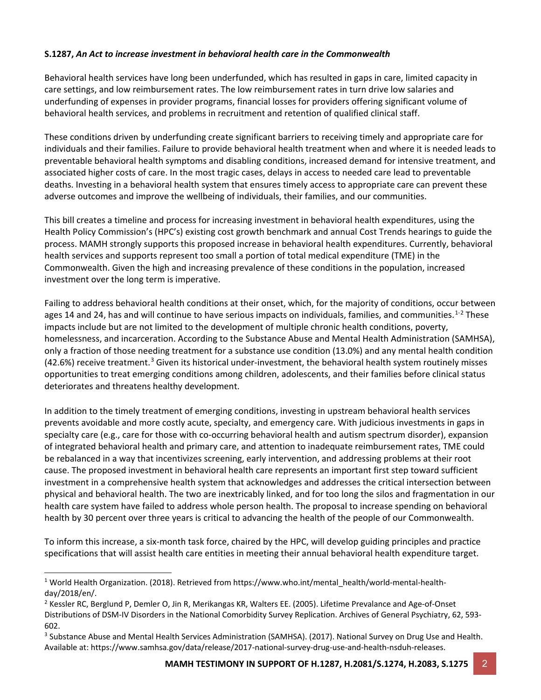## **S.1287,** *An Act to increase investment in behavioral health care in the Commonwealth*

Behavioral health services have long been underfunded, which has resulted in gaps in care, limited capacity in care settings, and low reimbursement rates. The low reimbursement rates in turn drive low salaries and underfunding of expenses in provider programs, financial losses for providers offering significant volume of behavioral health services, and problems in recruitment and retention of qualified clinical staff.

These conditions driven by underfunding create significant barriers to receiving timely and appropriate care for individuals and their families. Failure to provide behavioral health treatment when and where it is needed leads to preventable behavioral health symptoms and disabling conditions, increased demand for intensive treatment, and associated higher costs of care. In the most tragic cases, delays in access to needed care lead to preventable deaths. Investing in a behavioral health system that ensures timely access to appropriate care can prevent these adverse outcomes and improve the wellbeing of individuals, their families, and our communities.

This bill creates a timeline and process for increasing investment in behavioral health expenditures, using the Health Policy Commission's (HPC's) existing cost growth benchmark and annual Cost Trends hearings to guide the process. MAMH strongly supports this proposed increase in behavioral health expenditures. Currently, behavioral health services and supports represent too small a portion of total medical expenditure (TME) in the Commonwealth. Given the high and increasing prevalence of these conditions in the population, increased investment over the long term is imperative.

Failing to address behavioral health conditions at their onset, which, for the majority of conditions, occur between ages 14 and 24, has and will continue to have serious impacts on individuals, families, and communities.<sup>[1-](#page-1-0)[2](#page-1-1)</sup> These impacts include but are not limited to the development of multiple chronic health conditions, poverty, homelessness, and incarceration. According to the Substance Abuse and Mental Health Administration (SAMHSA), only a fraction of those needing treatment for a substance use condition (13.0%) and any mental health condition (42.6%) receive treatment.<sup>[3](#page-1-2)</sup> Given its historical under-investment, the behavioral health system routinely misses opportunities to treat emerging conditions among children, adolescents, and their families before clinical status deteriorates and threatens healthy development.

In addition to the timely treatment of emerging conditions, investing in upstream behavioral health services prevents avoidable and more costly acute, specialty, and emergency care. With judicious investments in gaps in specialty care (e.g., care for those with co-occurring behavioral health and autism spectrum disorder), expansion of integrated behavioral health and primary care, and attention to inadequate reimbursement rates, TME could be rebalanced in a way that incentivizes screening, early intervention, and addressing problems at their root cause. The proposed investment in behavioral health care represents an important first step toward sufficient investment in a comprehensive health system that acknowledges and addresses the critical intersection between physical and behavioral health. The two are inextricably linked, and for too long the silos and fragmentation in our health care system have failed to address whole person health. The proposal to increase spending on behavioral health by 30 percent over three years is critical to advancing the health of the people of our Commonwealth.

To inform this increase, a six-month task force, chaired by the HPC, will develop guiding principles and practice specifications that will assist health care entities in meeting their annual behavioral health expenditure target.

<span id="page-1-0"></span><sup>1</sup> World Health Organization. (2018). Retrieved from https://www.who.int/mental\_health/world-mental-healthday/2018/en/.

<span id="page-1-1"></span><sup>2</sup> Kessler RC, Berglund P, Demler O, Jin R, Merikangas KR, Walters EE. (2005). Lifetime Prevalance and Age-of-Onset Distributions of DSM-IV Disorders in the National Comorbidity Survey Replication. Archives of General Psychiatry, 62, 593- 602.

<span id="page-1-2"></span><sup>&</sup>lt;sup>3</sup> Substance Abuse and Mental Health Services Administration (SAMHSA). (2017). National Survey on Drug Use and Health. Available at: https://www.samhsa.gov/data/release/2017-national-survey-drug-use-and-health-nsduh-releases.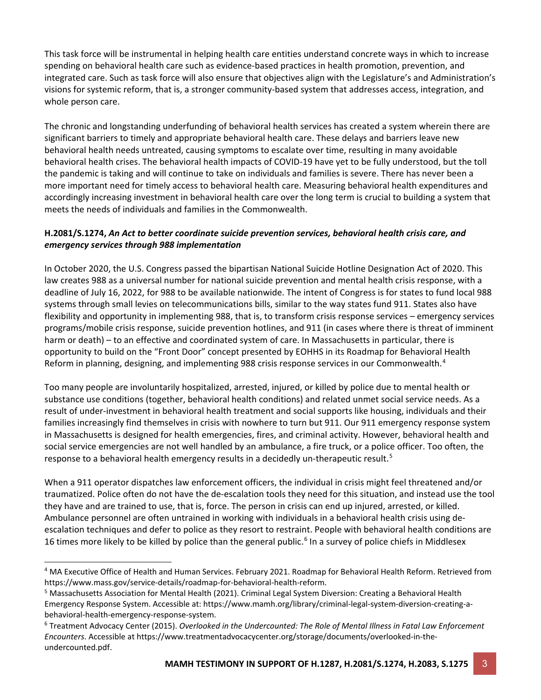This task force will be instrumental in helping health care entities understand concrete ways in which to increase spending on behavioral health care such as evidence-based practices in health promotion, prevention, and integrated care. Such as task force will also ensure that objectives align with the Legislature's and Administration's visions for systemic reform, that is, a stronger community-based system that addresses access, integration, and whole person care.

The chronic and longstanding underfunding of behavioral health services has created a system wherein there are significant barriers to timely and appropriate behavioral health care. These delays and barriers leave new behavioral health needs untreated, causing symptoms to escalate over time, resulting in many avoidable behavioral health crises. The behavioral health impacts of COVID-19 have yet to be fully understood, but the toll the pandemic is taking and will continue to take on individuals and families is severe. There has never been a more important need for timely access to behavioral health care. Measuring behavioral health expenditures and accordingly increasing investment in behavioral health care over the long term is crucial to building a system that meets the needs of individuals and families in the Commonwealth.

## **H.2081/S.1274,** *An Act to better coordinate suicide prevention services, behavioral health crisis care, and emergency services through 988 implementation*

In October 2020, the U.S. Congress passed the bipartisan National Suicide Hotline Designation Act of 2020. This law creates 988 as a universal number for national suicide prevention and mental health crisis response, with a deadline of July 16, 2022, for 988 to be available nationwide. The intent of Congress is for states to fund local 988 systems through small levies on telecommunications bills, similar to the way states fund 911. States also have flexibility and opportunity in implementing 988, that is, to transform crisis response services – emergency services programs/mobile crisis response, suicide prevention hotlines, and 911 (in cases where there is threat of imminent harm or death) – to an effective and coordinated system of care. In Massachusetts in particular, there is opportunity to build on the "Front Door" concept presented by EOHHS in its Roadmap for Behavioral Health Reform in planning, designing, and implementing 988 crisis response services in our Commonwealth.<sup>[4](#page-2-0)</sup>

Too many people are involuntarily hospitalized, arrested, injured, or killed by police due to mental health or substance use conditions (together, behavioral health conditions) and related unmet social service needs. As a result of under-investment in behavioral health treatment and social supports like housing, individuals and their families increasingly find themselves in crisis with nowhere to turn but 911. Our 911 emergency response system in Massachusetts is designed for health emergencies, fires, and criminal activity. However, behavioral health and social service emergencies are not well handled by an ambulance, a fire truck, or a police officer. Too often, the response to a behavioral health emergency results in a decidedly un-therapeutic result.<sup>[5](#page-2-1)</sup>

When a 911 operator dispatches law enforcement officers, the individual in crisis might feel threatened and/or traumatized. Police often do not have the de-escalation tools they need for this situation, and instead use the tool they have and are trained to use, that is, force. The person in crisis can end up injured, arrested, or killed. Ambulance personnel are often untrained in working with individuals in a behavioral health crisis using deescalation techniques and defer to police as they resort to restraint. People with behavioral health conditions are 1[6](#page-2-2) times more likely to be killed by police than the general public.<sup>6</sup> In a survey of police chiefs in Middlesex

<span id="page-2-0"></span><sup>4</sup> MA Executive Office of Health and Human Services. February 2021. Roadmap for Behavioral Health Reform. Retrieved from https://www.mass.gov/service-details/roadmap-for-behavioral-health-reform.

<span id="page-2-1"></span><sup>5</sup> Massachusetts Association for Mental Health (2021). Criminal Legal System Diversion: Creating a Behavioral Health Emergency Response System. Accessible at: https://www.mamh.org/library/criminal-legal-system-diversion-creating-abehavioral-health-emergency-response-system.

<span id="page-2-2"></span><sup>6</sup> Treatment Advocacy Center (2015). *Overlooked in the Undercounted: The Role of Mental Illness in Fatal Law Enforcement Encounters*. Accessible at https://www.treatmentadvocacycenter.org/storage/documents/overlooked-in-theundercounted.pdf.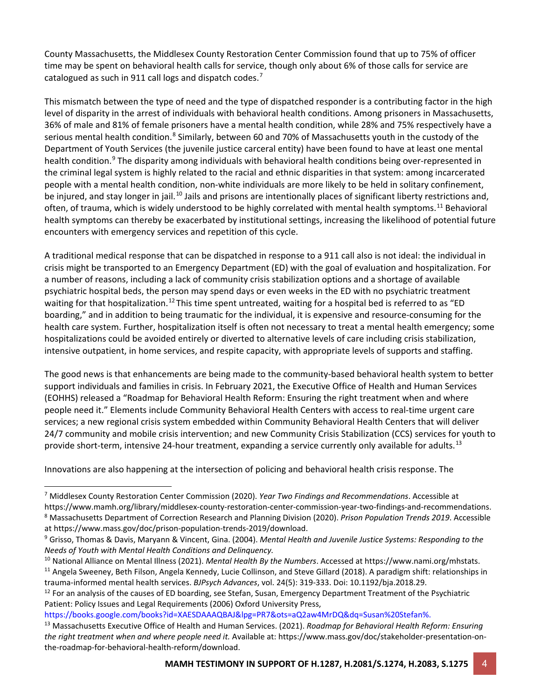County Massachusetts, the Middlesex County Restoration Center Commission found that up to 75% of officer time may be spent on behavioral health calls for service, though only about 6% of those calls for service are catalogued as such in 911 call logs and dispatch codes.<sup>[7](#page-3-0)</sup>

This mismatch between the type of need and the type of dispatched responder is a contributing factor in the high level of disparity in the arrest of individuals with behavioral health conditions. Among prisoners in Massachusetts, 36% of male and 81% of female prisoners have a mental health condition, while 28% and 75% respectively have a serious mental health condition.<sup>[8](#page-3-1)</sup> Similarly, between 60 and 70% of Massachusetts youth in the custody of the Department of Youth Services (the juvenile justice carceral entity) have been found to have at least one mental health condition.<sup>[9](#page-3-2)</sup> The disparity among individuals with behavioral health conditions being over-represented in the criminal legal system is highly related to the racial and ethnic disparities in that system: among incarcerated people with a mental health condition, non-white individuals are more likely to be held in solitary confinement, be injured, and stay longer in jail.<sup>[10](#page-3-3)</sup> Jails and prisons are intentionally places of significant liberty restrictions and, often, of trauma, which is widely understood to be highly correlated with mental health symptoms.[11](#page-3-4) Behavioral health symptoms can thereby be exacerbated by institutional settings, increasing the likelihood of potential future encounters with emergency services and repetition of this cycle.

A traditional medical response that can be dispatched in response to a 911 call also is not ideal: the individual in crisis might be transported to an Emergency Department (ED) with the goal of evaluation and hospitalization. For a number of reasons, including a lack of community crisis stabilization options and a shortage of available psychiatric hospital beds, the person may spend days or even weeks in the ED with no psychiatric treatment waiting for that hospitalization.<sup>[12](#page-3-5)</sup> This time spent untreated, waiting for a hospital bed is referred to as "ED boarding," and in addition to being traumatic for the individual, it is expensive and resource-consuming for the health care system. Further, hospitalization itself is often not necessary to treat a mental health emergency; some hospitalizations could be avoided entirely or diverted to alternative levels of care including crisis stabilization, intensive outpatient, in home services, and respite capacity, with appropriate levels of supports and staffing.

The good news is that enhancements are being made to the community-based behavioral health system to better support individuals and families in crisis. In February 2021, the Executive Office of Health and Human Services (EOHHS) released a "Roadmap for Behavioral Health Reform: Ensuring the right treatment when and where people need it." Elements include Community Behavioral Health Centers with access to real-time urgent care services; a new regional crisis system embedded within Community Behavioral Health Centers that will deliver 24/7 community and mobile crisis intervention; and new Community Crisis Stabilization (CCS) services for youth to provide short-term, intensive 24-hour treatment, expanding a service currently only available for adults.<sup>[13](#page-3-6)</sup>

Innovations are also happening at the intersection of policing and behavioral health crisis response. The

<span id="page-3-0"></span><sup>7</sup> Middlesex County Restoration Center Commission (2020). *Year Two Findings and Recommendations*. Accessible at https://www.mamh.org/library/middlesex-county-restoration-center-commission-year-two-findings-and-recommendations.<br><sup>8</sup> Massachusetts Department of Correction Research and Planning Division (2020). Prison Population Trends

<span id="page-3-2"></span><span id="page-3-1"></span>at https://www.mass.gov/doc/prison-population-trends-2019/download.<br><sup>9</sup> Grisso, Thomas & Davis, Maryann & Vincent, Gina. (2004). *Mental Health and Juvenile Justice Systems: Responding to the* 

<span id="page-3-3"></span>Needs of Youth with Mental Health Conditions and Delinquency.<br><sup>10</sup> National Alliance on Mental Illness (2021). Mental Health By the Numbers. Accessed at https://www.nami.org/mhstats.<br><sup>11</sup> Angela Sweeney, Beth Filson, Angel

<span id="page-3-4"></span>trauma-informed mental health services. BJPsych Advances, vol. 24(5): 319-333. Doi: 10.1192/bja.2018.29.<br><sup>12</sup> For an analysis of the causes of ED boarding, see Stefan, Susan, Emergency Department Treatment of the Psychiatr

<span id="page-3-5"></span>Patient: Policy Issues and Legal Requirements (2006) Oxford University Press,

https://books.google.com/books?id=XAESDAAAQBAJ&lpg=PR7&ots=aQ2aw4MrDQ&dq=Susan%20Stefan%.

<span id="page-3-6"></span><sup>13</sup> Massachusetts Executive Office of Health and Human Services. (2021). *Roadmap for Behavioral Health Reform: Ensuring the right treatment when and where people need it.* Available at: https://www.mass.gov/doc/stakeholder-presentation-onthe-roadmap-for-behavioral-health-reform/download.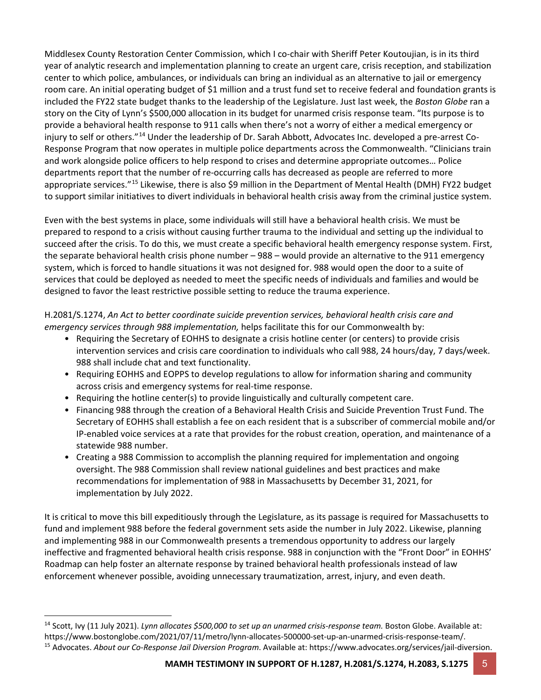Middlesex County Restoration Center Commission, which I co-chair with Sheriff Peter Koutoujian, is in its third year of analytic research and implementation planning to create an urgent care, crisis reception, and stabilization center to which police, ambulances, or individuals can bring an individual as an alternative to jail or emergency room care. An initial operating budget of \$1 million and a trust fund set to receive federal and foundation grants is included the FY22 state budget thanks to the leadership of the Legislature. Just last week, the *Boston Globe* ran a story on the City of Lynn's \$500,000 allocation in its budget for unarmed crisis response team. "Its purpose is to provide a behavioral health response to 911 calls when there's not a worry of either a medical emergency or injury to self or others."[14](#page-4-0) Under the leadership of Dr. Sarah Abbott, Advocates Inc. developed a pre-arrest Co-Response Program that now operates in multiple police departments across the Commonwealth. "Clinicians train and work alongside police officers to help respond to crises and determine appropriate outcomes… Police departments report that the number of re-occurring calls has decreased as people are referred to more appropriate services."[15](#page-4-1) Likewise, there is also \$9 million in the Department of Mental Health (DMH) FY22 budget to support similar initiatives to divert individuals in behavioral health crisis away from the criminal justice system.

Even with the best systems in place, some individuals will still have a behavioral health crisis. We must be prepared to respond to a crisis without causing further trauma to the individual and setting up the individual to succeed after the crisis. To do this, we must create a specific behavioral health emergency response system. First, the separate behavioral health crisis phone number – 988 – would provide an alternative to the 911 emergency system, which is forced to handle situations it was not designed for. 988 would open the door to a suite of services that could be deployed as needed to meet the specific needs of individuals and families and would be designed to favor the least restrictive possible setting to reduce the trauma experience.

H.2081/S.1274, *An Act to better coordinate suicide prevention services, behavioral health crisis care and emergency services through 988 implementation,* helps facilitate this for our Commonwealth by:

- Requiring the Secretary of EOHHS to designate a crisis hotline center (or centers) to provide crisis intervention services and crisis care coordination to individuals who call 988, 24 hours/day, 7 days/week. 988 shall include chat and text functionality.
- Requiring EOHHS and EOPPS to develop regulations to allow for information sharing and community across crisis and emergency systems for real-time response.
- Requiring the hotline center(s) to provide linguistically and culturally competent care.
- Financing 988 through the creation of a Behavioral Health Crisis and Suicide Prevention Trust Fund. The Secretary of EOHHS shall establish a fee on each resident that is a subscriber of commercial mobile and/or IP-enabled voice services at a rate that provides for the robust creation, operation, and maintenance of a statewide 988 number.
- Creating a 988 Commission to accomplish the planning required for implementation and ongoing oversight. The 988 Commission shall review national guidelines and best practices and make recommendations for implementation of 988 in Massachusetts by December 31, 2021, for implementation by July 2022.

It is critical to move this bill expeditiously through the Legislature, as its passage is required for Massachusetts to fund and implement 988 before the federal government sets aside the number in July 2022. Likewise, planning and implementing 988 in our Commonwealth presents a tremendous opportunity to address our largely ineffective and fragmented behavioral health crisis response. 988 in conjunction with the "Front Door" in EOHHS' Roadmap can help foster an alternate response by trained behavioral health professionals instead of law enforcement whenever possible, avoiding unnecessary traumatization, arrest, injury, and even death.

<span id="page-4-1"></span><span id="page-4-0"></span><sup>14</sup> Scott, Ivy (11 July 2021). *Lynn allocates \$500,000 to set up an unarmed crisis-response team.* Boston Globe. Available at: https://www.bostonglobe.com/2021/07/11/metro/lynn-allocates-500000-set-up-an-unarmed-crisis-response-team/. <sup>15</sup> Advocates. *About our Co-Response Jail Diversion Program*. Available at: https://www.advocates.org/services/jail-diversion.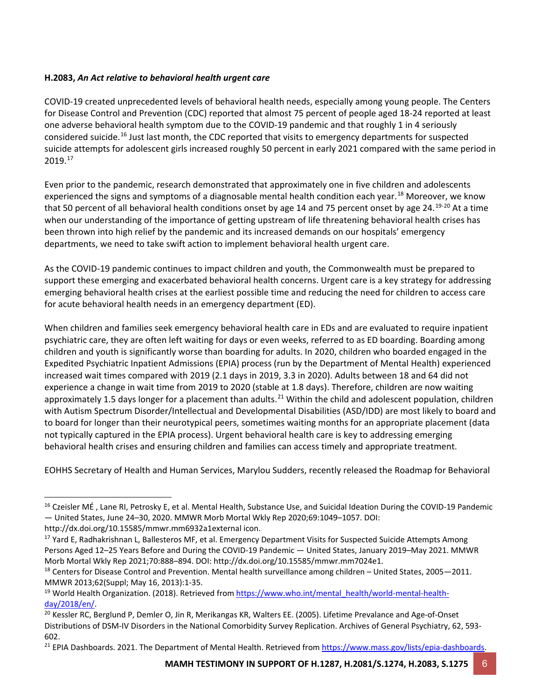## **H.2083,** *An Act relative to behavioral health urgent care*

COVID-19 created unprecedented levels of behavioral health needs, especially among young people. The Centers for Disease Control and Prevention (CDC) reported that almost 75 percent of people aged 18-24 reported at least one adverse behavioral health symptom due to the COVID-19 pandemic and that roughly 1 in 4 seriously considered suicide.[16](#page-5-0) Just last month, the CDC reported that visits to emergency departments for suspected suicide attempts for adolescent girls increased roughly 50 percent in early 2021 compared with the same period in 2019. [17](#page-5-1)

Even prior to the pandemic, research demonstrated that approximately one in five children and adolescents experienced the signs and symptoms of a diagnosable mental health condition each year.<sup>[18](#page-5-2)</sup> Moreover, we know that 50 percent of all behavioral health conditions onset by age 14 and 75 percent onset by age 24.<sup>[19-](#page-5-3)[20](#page-5-4)</sup> At a time when our understanding of the importance of getting upstream of life threatening behavioral health crises has been thrown into high relief by the pandemic and its increased demands on our hospitals' emergency departments, we need to take swift action to implement behavioral health urgent care.

As the COVID-19 pandemic continues to impact children and youth, the Commonwealth must be prepared to support these emerging and exacerbated behavioral health concerns. Urgent care is a key strategy for addressing emerging behavioral health crises at the earliest possible time and reducing the need for children to access care for acute behavioral health needs in an emergency department (ED).

When children and families seek emergency behavioral health care in EDs and are evaluated to require inpatient psychiatric care, they are often left waiting for days or even weeks, referred to as ED boarding. Boarding among children and youth is significantly worse than boarding for adults. In 2020, children who boarded engaged in the Expedited Psychiatric Inpatient Admissions (EPIA) process (run by the Department of Mental Health) experienced increased wait times compared with 2019 (2.1 days in 2019, 3.3 in 2020). Adults between 18 and 64 did not experience a change in wait time from 2019 to 2020 (stable at 1.8 days). Therefore, children are now waiting approximately 1.5 days longer for a placement than adults.<sup>[21](#page-5-5)</sup> Within the child and adolescent population, children with Autism Spectrum Disorder/Intellectual and Developmental Disabilities (ASD/IDD) are most likely to board and to board for longer than their neurotypical peers, sometimes waiting months for an appropriate placement (data not typically captured in the EPIA process). Urgent behavioral health care is key to addressing emerging behavioral health crises and ensuring children and families can access timely and appropriate treatment.

EOHHS Secretary of Health and Human Services, Marylou Sudders, recently released the Roadmap for Behavioral

<span id="page-5-0"></span><sup>&</sup>lt;sup>16</sup> Czeisler MÉ, Lane RI, Petrosky E, et al. Mental Health, Substance Use, and Suicidal Ideation During the COVID-19 Pandemic — United States, June 24–30, 2020. MMWR Morb Mortal Wkly Rep 2020;69:1049–1057. DOI:

http://dx.doi.org/10.15585/mmwr.mm6932a1external icon.

<span id="page-5-1"></span><sup>&</sup>lt;sup>17</sup> Yard E, Radhakrishnan L, Ballesteros MF, et al. Emergency Department Visits for Suspected Suicide Attempts Among Persons Aged 12–25 Years Before and During the COVID-19 Pandemic — United States, January 2019–May 2021. MMWR Morb Mortal Wkly Rep 2021;70:888–894. DOI: http://dx.doi.org/10.15585/mmwr.mm7024e1.

<span id="page-5-2"></span> $18$  Centers for Disease Control and Prevention. Mental health surveillance among children – United States, 2005–2011. MMWR 2013;62(Suppl; May 16, 2013):1-35.

<span id="page-5-3"></span><sup>&</sup>lt;sup>19</sup> World Health Organization. (2018). Retrieved fro[m https://www.who.int/mental\\_health/world-mental-health](https://www.who.int/mental_health/world-mental-health-day/2018/en/)[day/2018/en/.](https://www.who.int/mental_health/world-mental-health-day/2018/en/)<br><sup>20</sup> Kessler RC, Berglund P, Demler O, Jin R, Merikangas KR, Walters EE. (2005). Lifetime Prevalance and Age-of-Onset

<span id="page-5-4"></span>Distributions of DSM-IV Disorders in the National Comorbidity Survey Replication. Archives of General Psychiatry, 62, 593- 602.

<span id="page-5-5"></span><sup>&</sup>lt;sup>21</sup> EPIA Dashboards. 2021. The Department of Mental Health. Retrieved fro[m https://www.mass.gov/lists/epia-dashboards.](https://www.mass.gov/lists/epia-dashboards)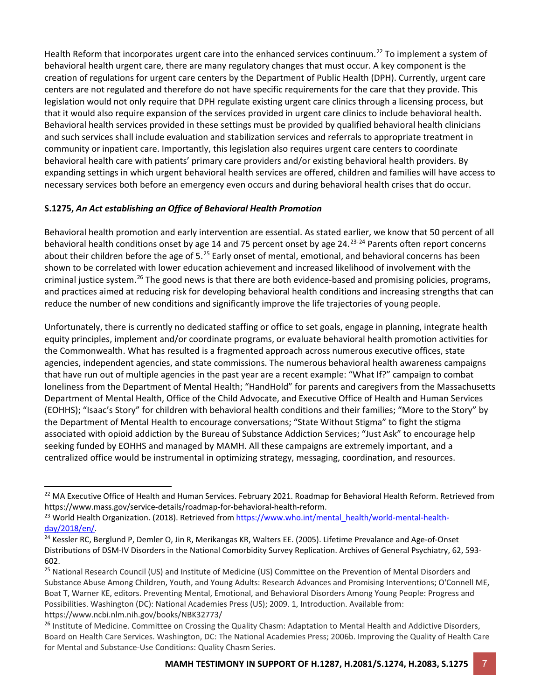Health Reform that incorporates urgent care into the enhanced services continuum.<sup>[22](#page-6-0)</sup> To implement a system of behavioral health urgent care, there are many regulatory changes that must occur. A key component is the creation of regulations for urgent care centers by the Department of Public Health (DPH). Currently, urgent care centers are not regulated and therefore do not have specific requirements for the care that they provide. This legislation would not only require that DPH regulate existing urgent care clinics through a licensing process, but that it would also require expansion of the services provided in urgent care clinics to include behavioral health. Behavioral health services provided in these settings must be provided by qualified behavioral health clinicians and such services shall include evaluation and stabilization services and referrals to appropriate treatment in community or inpatient care. Importantly, this legislation also requires urgent care centers to coordinate behavioral health care with patients' primary care providers and/or existing behavioral health providers. By expanding settings in which urgent behavioral health services are offered, children and families will have access to necessary services both before an emergency even occurs and during behavioral health crises that do occur.

## **S.1275,** *An Act establishing an Office of Behavioral Health Promotion*

Behavioral health promotion and early intervention are essential. As stated earlier, we know that 50 percent of all behavioral health conditions onset by age 14 and 75 percent onset by age 24.<sup>[23-](#page-6-1)[24](#page-6-2)</sup> Parents often report concerns about their children before the age of 5.<sup>[25](#page-6-3)</sup> Early onset of mental, emotional, and behavioral concerns has been shown to be correlated with lower education achievement and increased likelihood of involvement with the criminal justice system.<sup>[26](#page-6-4)</sup> The good news is that there are both evidence-based and promising policies, programs, and practices aimed at reducing risk for developing behavioral health conditions and increasing strengths that can reduce the number of new conditions and significantly improve the life trajectories of young people.

Unfortunately, there is currently no dedicated staffing or office to set goals, engage in planning, integrate health equity principles, implement and/or coordinate programs, or evaluate behavioral health promotion activities for the Commonwealth. What has resulted is a fragmented approach across numerous executive offices, state agencies, independent agencies, and state commissions. The numerous behavioral health awareness campaigns that have run out of multiple agencies in the past year are a recent example: "What If?" campaign to combat loneliness from the Department of Mental Health; "HandHold" for parents and caregivers from the Massachusetts Department of Mental Health, Office of the Child Advocate, and Executive Office of Health and Human Services (EOHHS); "Isaac's Story" for children with behavioral health conditions and their families; "More to the Story" by the Department of Mental Health to encourage conversations; "State Without Stigma" to fight the stigma associated with opioid addiction by the Bureau of Substance Addiction Services; "Just Ask" to encourage help seeking funded by EOHHS and managed by MAMH. All these campaigns are extremely important, and a centralized office would be instrumental in optimizing strategy, messaging, coordination, and resources.

<span id="page-6-0"></span><sup>&</sup>lt;sup>22</sup> MA Executive Office of Health and Human Services. February 2021. Roadmap for Behavioral Health Reform. Retrieved from https://www.mass.gov/service-details/roadmap-for-behavioral-health-reform.

<span id="page-6-1"></span><sup>&</sup>lt;sup>23</sup> World Health Organization. (2018). Retrieved fro[m https://www.who.int/mental\\_health/world-mental-health](https://www.who.int/mental_health/world-mental-health-day/2018/en/)[day/2018/en/.](https://www.who.int/mental_health/world-mental-health-day/2018/en/)<br><sup>24</sup> Kessler RC, Berglund P, Demler O, Jin R, Merikangas KR, Walters EE. (2005). Lifetime Prevalance and Age-of-Onset

<span id="page-6-2"></span>Distributions of DSM-IV Disorders in the National Comorbidity Survey Replication. Archives of General Psychiatry, 62, 593- 602.

<span id="page-6-3"></span><sup>&</sup>lt;sup>25</sup> National Research Council (US) and Institute of Medicine (US) Committee on the Prevention of Mental Disorders and Substance Abuse Among Children, Youth, and Young Adults: Research Advances and Promising Interventions; O'Connell ME, Boat T, Warner KE, editors. Preventing Mental, Emotional, and Behavioral Disorders Among Young People: Progress and Possibilities. Washington (DC): National Academies Press (US); 2009. 1, Introduction. Available from: https://www.ncbi.nlm.nih.gov/books/NBK32773/

<span id="page-6-4"></span><sup>&</sup>lt;sup>26</sup> Institute of Medicine. Committee on Crossing the Quality Chasm: Adaptation to Mental Health and Addictive Disorders, Board on Health Care Services. Washington, DC: The National Academies Press; 2006b. Improving the Quality of Health Care for Mental and Substance-Use Conditions: Quality Chasm Series.